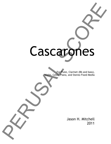

For Flute, Clarinet (Bb and bass), Violin, Cello, Piano, and Stereo Fixed Media

> Jason H. Mitchell 2011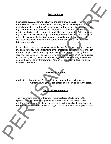## **Program Notes**

Program Rotes<br>
Program Rotes<br>
Pictures while studying the score of Are Meris Steller<br>
Pain Moan Henders Are in the sign and the cost in the space of the moon, the<br>
pain on the cost of hender of the moon, the space of the I composed *Cascarones* while studying the score of *Ave Maris Stella* (1975) by Peter Maxwell Davies. As I examined the work, which was composed using a plainchant melody and the 9x9 magic square of the moon, I began to develop my own theories of how the chant and square could be used to generate musical materials such as form, pitch, rhythm, and harmonies. While some of my theories and experimental paths through the square were quite similar to particular moments in the Davies score, it was the remaining, unused ideas that really intrigued me and thus inspired me to compose a work with the leftover materials.

In this piece, I use the popular Mexican folk tune *De Colores* as inspiration for my pitch material. While fragments of the melody do appear scattered though out the composition, it is not my intention for the listener to recognize or identify such moments. For this work, I also chose to use the 9x9 magic square of the moon, which, like a *Cascarón* (an eggshell filled with brightly colored confetti), serves as my framework or "shell" for the colorful folkloric pitch materials used within.



Clarinet – Both Bb and Bass clarinets are required for performance. Multiphonic fingerings are placed in the part and not the score.

## **Technical Requirements**

The fixed media portion of this work requires stereo playback with the speakers being placed on stage behind the ensemble. The levels of the playback should not overwhelm the ensemble. Additionally, the playback will require an additional performer to trigger the sound files at appropriate times.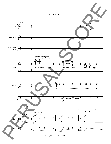## Cascarones

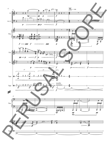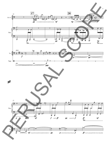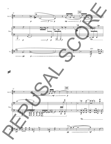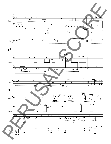